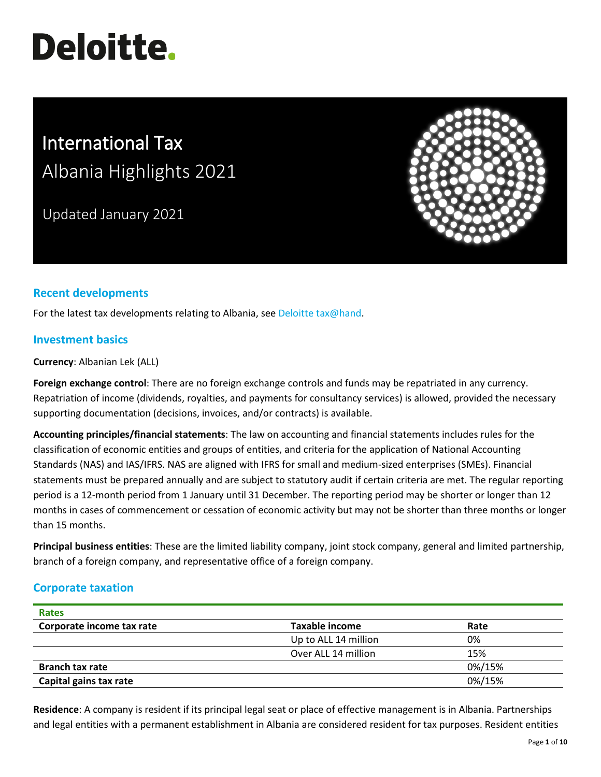# **Deloitte.**

# International Tax Albania Highlights 2021

Updated January 2021



# **Recent developments**

For the latest tax developments relating to Albania, se[e Deloitte tax@hand.](https://www.taxathand.com/world-news/Albania)

# **Investment basics**

**Currency**: Albanian Lek (ALL)

**Foreign exchange control**: There are no foreign exchange controls and funds may be repatriated in any currency. Repatriation of income (dividends, royalties, and payments for consultancy services) is allowed, provided the necessary supporting documentation (decisions, invoices, and/or contracts) is available.

**Accounting principles/financial statements**: The law on accounting and financial statements includes rules for the classification of economic entities and groups of entities, and criteria for the application of National Accounting Standards (NAS) and IAS/IFRS. NAS are aligned with IFRS for small and medium-sized enterprises (SMEs). Financial statements must be prepared annually and are subject to statutory audit if certain criteria are met. The regular reporting period is a 12-month period from 1 January until 31 December. The reporting period may be shorter or longer than 12 months in cases of commencement or cessation of economic activity but may not be shorter than three months or longer than 15 months.

**Principal business entities**: These are the limited liability company, joint stock company, general and limited partnership, branch of a foreign company, and representative office of a foreign company.

# **Corporate taxation**

| <b>Rates</b>              |                       |        |
|---------------------------|-----------------------|--------|
| Corporate income tax rate | <b>Taxable income</b> | Rate   |
|                           | Up to ALL 14 million  | 0%     |
|                           | Over ALL 14 million   | 15%    |
| <b>Branch tax rate</b>    |                       | 0%/15% |
| Capital gains tax rate    |                       | 0%/15% |

**Residence**: A company is resident if its principal legal seat or place of effective management is in Albania. Partnerships and legal entities with a permanent establishment in Albania are considered resident for tax purposes. Resident entities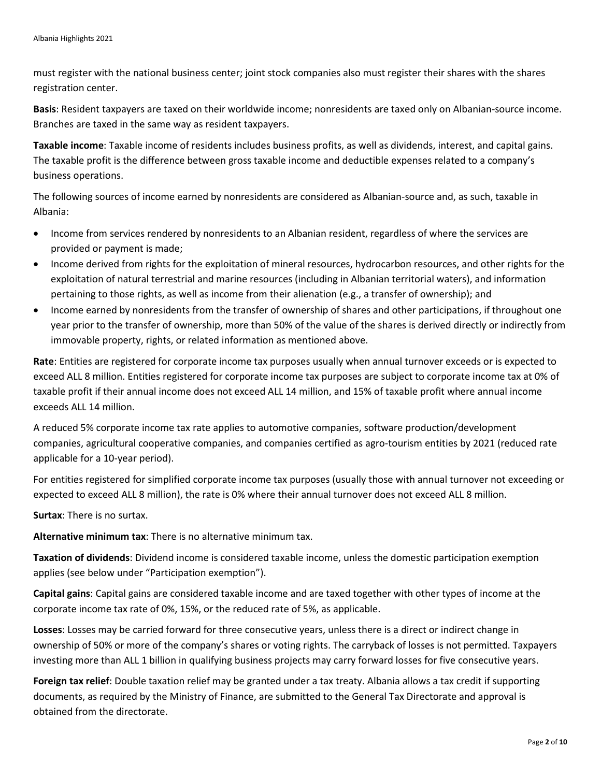must register with the national business center; joint stock companies also must register their shares with the shares registration center.

**Basis**: Resident taxpayers are taxed on their worldwide income; nonresidents are taxed only on Albanian-source income. Branches are taxed in the same way as resident taxpayers.

**Taxable income**: Taxable income of residents includes business profits, as well as dividends, interest, and capital gains. The taxable profit is the difference between gross taxable income and deductible expenses related to a company's business operations.

The following sources of income earned by nonresidents are considered as Albanian-source and, as such, taxable in Albania:

- Income from services rendered by nonresidents to an Albanian resident, regardless of where the services are provided or payment is made;
- Income derived from rights for the exploitation of mineral resources, hydrocarbon resources, and other rights for the exploitation of natural terrestrial and marine resources (including in Albanian territorial waters), and information pertaining to those rights, as well as income from their alienation (e.g., a transfer of ownership); and
- Income earned by nonresidents from the transfer of ownership of shares and other participations, if throughout one year prior to the transfer of ownership, more than 50% of the value of the shares is derived directly or indirectly from immovable property, rights, or related information as mentioned above.

**Rate**: Entities are registered for corporate income tax purposes usually when annual turnover exceeds or is expected to exceed ALL 8 million. Entities registered for corporate income tax purposes are subject to corporate income tax at 0% of taxable profit if their annual income does not exceed ALL 14 million, and 15% of taxable profit where annual income exceeds ALL 14 million.

A reduced 5% corporate income tax rate applies to automotive companies, software production/development companies, agricultural cooperative companies, and companies certified as agro-tourism entities by 2021 (reduced rate applicable for a 10-year period).

For entities registered for simplified corporate income tax purposes (usually those with annual turnover not exceeding or expected to exceed ALL 8 million), the rate is 0% where their annual turnover does not exceed ALL 8 million.

**Surtax**: There is no surtax.

**Alternative minimum tax**: There is no alternative minimum tax.

**Taxation of dividends**: Dividend income is considered taxable income, unless the domestic participation exemption applies (see below under "Participation exemption").

**Capital gains**: Capital gains are considered taxable income and are taxed together with other types of income at the corporate income tax rate of 0%, 15%, or the reduced rate of 5%, as applicable.

**Losses**: Losses may be carried forward for three consecutive years, unless there is a direct or indirect change in ownership of 50% or more of the company's shares or voting rights. The carryback of losses is not permitted. Taxpayers investing more than ALL 1 billion in qualifying business projects may carry forward losses for five consecutive years.

**Foreign tax relief**: Double taxation relief may be granted under a tax treaty. Albania allows a tax credit if supporting documents, as required by the Ministry of Finance, are submitted to the General Tax Directorate and approval is obtained from the directorate.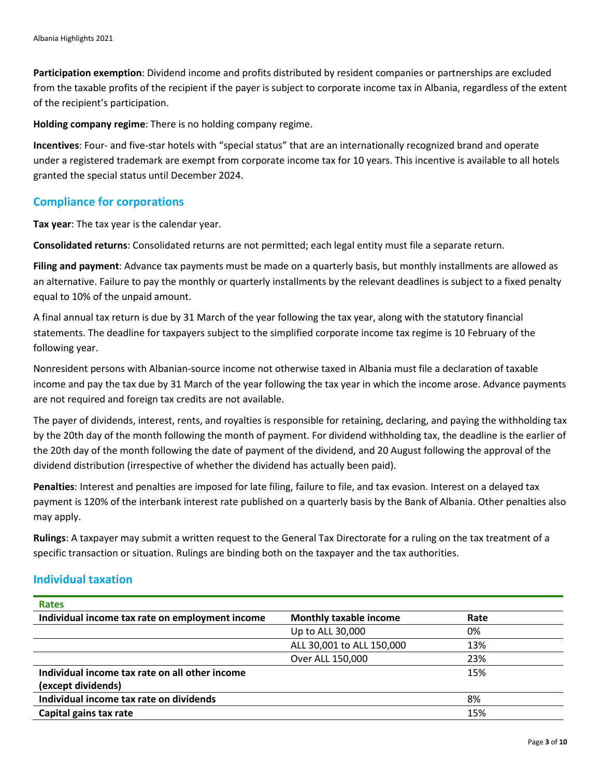**Participation exemption**: Dividend income and profits distributed by resident companies or partnerships are excluded from the taxable profits of the recipient if the payer is subject to corporate income tax in Albania, regardless of the extent of the recipient's participation.

**Holding company regime**: There is no holding company regime.

**Incentives**: Four- and five-star hotels with "special status" that are an internationally recognized brand and operate under a registered trademark are exempt from corporate income tax for 10 years. This incentive is available to all hotels granted the special status until December 2024.

# **Compliance for corporations**

**Tax year**: The tax year is the calendar year.

**Consolidated returns**: Consolidated returns are not permitted; each legal entity must file a separate return.

**Filing and payment**: Advance tax payments must be made on a quarterly basis, but monthly installments are allowed as an alternative. Failure to pay the monthly or quarterly installments by the relevant deadlines is subject to a fixed penalty equal to 10% of the unpaid amount.

A final annual tax return is due by 31 March of the year following the tax year, along with the statutory financial statements. The deadline for taxpayers subject to the simplified corporate income tax regime is 10 February of the following year.

Nonresident persons with Albanian-source income not otherwise taxed in Albania must file a declaration of taxable income and pay the tax due by 31 March of the year following the tax year in which the income arose. Advance payments are not required and foreign tax credits are not available.

The payer of dividends, interest, rents, and royalties is responsible for retaining, declaring, and paying the withholding tax by the 20th day of the month following the month of payment. For dividend withholding tax, the deadline is the earlier of the 20th day of the month following the date of payment of the dividend, and 20 August following the approval of the dividend distribution (irrespective of whether the dividend has actually been paid).

**Penalties**: Interest and penalties are imposed for late filing, failure to file, and tax evasion. Interest on a delayed tax payment is 120% of the interbank interest rate published on a quarterly basis by the Bank of Albania. Other penalties also may apply.

**Rulings**: A taxpayer may submit a written request to the General Tax Directorate for a ruling on the tax treatment of a specific transaction or situation. Rulings are binding both on the taxpayer and the tax authorities.

# **Individual taxation**

| <b>Rates</b>                                    |                               |      |  |
|-------------------------------------------------|-------------------------------|------|--|
| Individual income tax rate on employment income | <b>Monthly taxable income</b> | Rate |  |
|                                                 | Up to ALL 30,000              | 0%   |  |
|                                                 | ALL 30,001 to ALL 150,000     | 13%  |  |
|                                                 | Over ALL 150,000              | 23%  |  |
| Individual income tax rate on all other income  |                               | 15%  |  |
| (except dividends)                              |                               |      |  |
| Individual income tax rate on dividends         |                               | 8%   |  |
| Capital gains tax rate                          |                               | 15%  |  |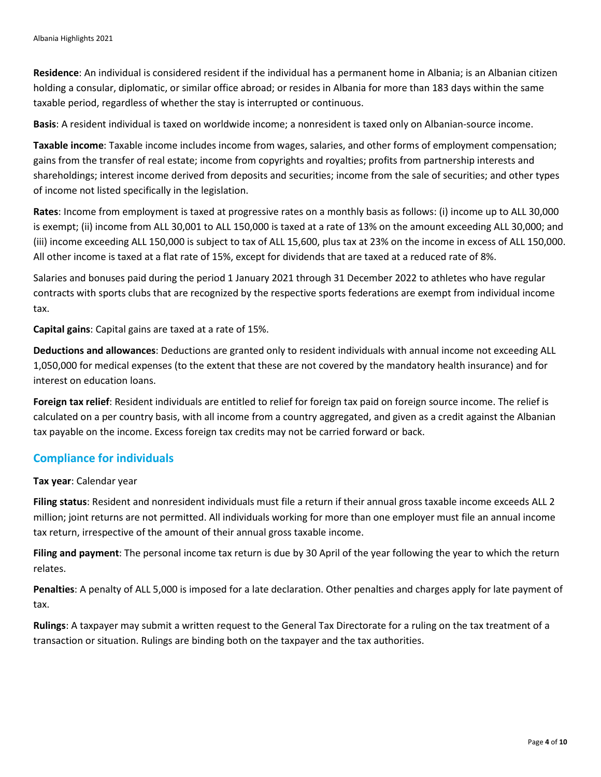**Residence**: An individual is considered resident if the individual has a permanent home in Albania; is an Albanian citizen holding a consular, diplomatic, or similar office abroad; or resides in Albania for more than 183 days within the same taxable period, regardless of whether the stay is interrupted or continuous.

**Basis**: A resident individual is taxed on worldwide income; a nonresident is taxed only on Albanian-source income.

**Taxable income**: Taxable income includes income from wages, salaries, and other forms of employment compensation; gains from the transfer of real estate; income from copyrights and royalties; profits from partnership interests and shareholdings; interest income derived from deposits and securities; income from the sale of securities; and other types of income not listed specifically in the legislation.

**Rates**: Income from employment is taxed at progressive rates on a monthly basis as follows: (i) income up to ALL 30,000 is exempt; (ii) income from ALL 30,001 to ALL 150,000 is taxed at a rate of 13% on the amount exceeding ALL 30,000; and (iii) income exceeding ALL 150,000 is subject to tax of ALL 15,600, plus tax at 23% on the income in excess of ALL 150,000. All other income is taxed at a flat rate of 15%, except for dividends that are taxed at a reduced rate of 8%.

Salaries and bonuses paid during the period 1 January 2021 through 31 December 2022 to athletes who have regular contracts with sports clubs that are recognized by the respective sports federations are exempt from individual income tax.

**Capital gains**: Capital gains are taxed at a rate of 15%.

**Deductions and allowances**: Deductions are granted only to resident individuals with annual income not exceeding ALL 1,050,000 for medical expenses (to the extent that these are not covered by the mandatory health insurance) and for interest on education loans.

**Foreign tax relief**: Resident individuals are entitled to relief for foreign tax paid on foreign source income. The relief is calculated on a per country basis, with all income from a country aggregated, and given as a credit against the Albanian tax payable on the income. Excess foreign tax credits may not be carried forward or back.

# **Compliance for individuals**

#### **Tax year**: Calendar year

**Filing status**: Resident and nonresident individuals must file a return if their annual gross taxable income exceeds ALL 2 million; joint returns are not permitted. All individuals working for more than one employer must file an annual income tax return, irrespective of the amount of their annual gross taxable income.

**Filing and payment**: The personal income tax return is due by 30 April of the year following the year to which the return relates.

**Penalties**: A penalty of ALL 5,000 is imposed for a late declaration. Other penalties and charges apply for late payment of tax.

**Rulings**: A taxpayer may submit a written request to the General Tax Directorate for a ruling on the tax treatment of a transaction or situation. Rulings are binding both on the taxpayer and the tax authorities.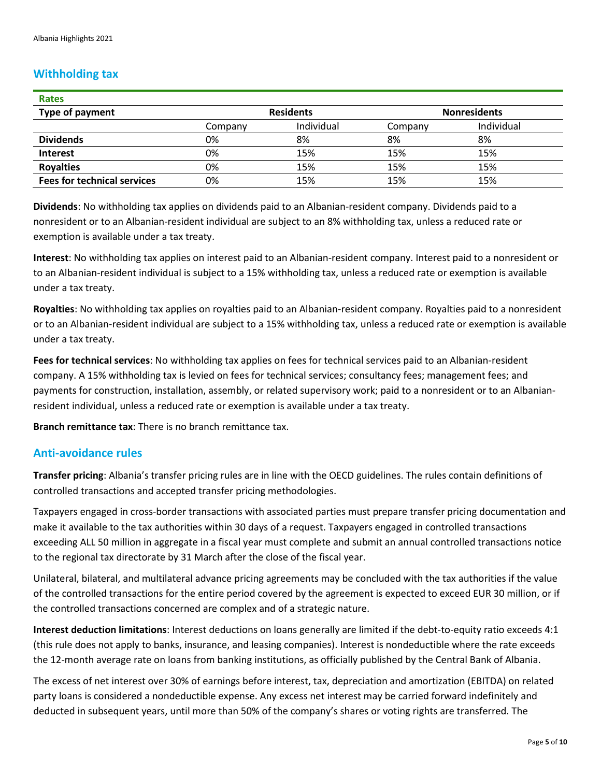# **Withholding tax**

| <b>Rates</b>                       |                  |            |                     |            |
|------------------------------------|------------------|------------|---------------------|------------|
| <b>Type of payment</b>             | <b>Residents</b> |            | <b>Nonresidents</b> |            |
|                                    | Company          | Individual | Company             | Individual |
| <b>Dividends</b>                   | 0%               | 8%         | 8%                  | 8%         |
| <b>Interest</b>                    | 0%               | 15%        | 15%                 | 15%        |
| <b>Royalties</b>                   | 0%               | 15%        | 15%                 | 15%        |
| <b>Fees for technical services</b> | 0%               | 15%        | 15%                 | 15%        |

**Dividends**: No withholding tax applies on dividends paid to an Albanian-resident company. Dividends paid to a nonresident or to an Albanian-resident individual are subject to an 8% withholding tax, unless a reduced rate or exemption is available under a tax treaty.

**Interest**: No withholding tax applies on interest paid to an Albanian-resident company. Interest paid to a nonresident or to an Albanian-resident individual is subject to a 15% withholding tax, unless a reduced rate or exemption is available under a tax treaty.

**Royalties**: No withholding tax applies on royalties paid to an Albanian-resident company. Royalties paid to a nonresident or to an Albanian-resident individual are subject to a 15% withholding tax, unless a reduced rate or exemption is available under a tax treaty.

**Fees for technical services**: No withholding tax applies on fees for technical services paid to an Albanian-resident company. A 15% withholding tax is levied on fees for technical services; consultancy fees; management fees; and payments for construction, installation, assembly, or related supervisory work; paid to a nonresident or to an Albanianresident individual, unless a reduced rate or exemption is available under a tax treaty.

**Branch remittance tax**: There is no branch remittance tax.

# **Anti-avoidance rules**

**Transfer pricing**: Albania's transfer pricing rules are in line with the OECD guidelines. The rules contain definitions of controlled transactions and accepted transfer pricing methodologies.

Taxpayers engaged in cross-border transactions with associated parties must prepare transfer pricing documentation and make it available to the tax authorities within 30 days of a request. Taxpayers engaged in controlled transactions exceeding ALL 50 million in aggregate in a fiscal year must complete and submit an annual controlled transactions notice to the regional tax directorate by 31 March after the close of the fiscal year.

Unilateral, bilateral, and multilateral advance pricing agreements may be concluded with the tax authorities if the value of the controlled transactions for the entire period covered by the agreement is expected to exceed EUR 30 million, or if the controlled transactions concerned are complex and of a strategic nature.

**Interest deduction limitations**: Interest deductions on loans generally are limited if the debt-to-equity ratio exceeds 4:1 (this rule does not apply to banks, insurance, and leasing companies). Interest is nondeductible where the rate exceeds the 12-month average rate on loans from banking institutions, as officially published by the Central Bank of Albania.

The excess of net interest over 30% of earnings before interest, tax, depreciation and amortization (EBITDA) on related party loans is considered a nondeductible expense. Any excess net interest may be carried forward indefinitely and deducted in subsequent years, until more than 50% of the company's shares or voting rights are transferred. The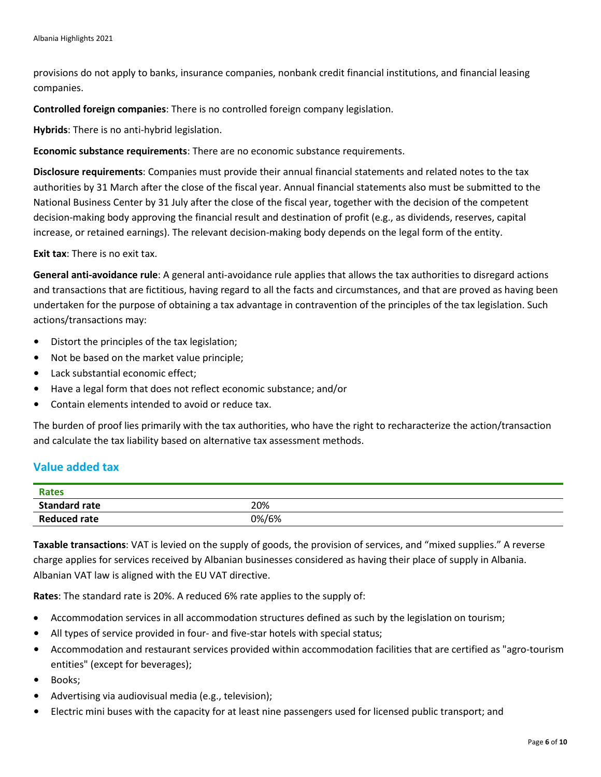provisions do not apply to banks, insurance companies, nonbank credit financial institutions, and financial leasing companies.

**Controlled foreign companies**: There is no controlled foreign company legislation.

**Hybrids**: There is no anti-hybrid legislation.

**Economic substance requirements**: There are no economic substance requirements.

**Disclosure requirements**: Companies must provide their annual financial statements and related notes to the tax authorities by 31 March after the close of the fiscal year. Annual financial statements also must be submitted to the National Business Center by 31 July after the close of the fiscal year, together with the decision of the competent decision-making body approving the financial result and destination of profit (e.g., as dividends, reserves, capital increase, or retained earnings). The relevant decision-making body depends on the legal form of the entity.

**Exit tax**: There is no exit tax.

**General anti-avoidance rule**: A general anti-avoidance rule applies that allows the tax authorities to disregard actions and transactions that are fictitious, having regard to all the facts and circumstances, and that are proved as having been undertaken for the purpose of obtaining a tax advantage in contravention of the principles of the tax legislation. Such actions/transactions may:

- Distort the principles of the tax legislation;
- Not be based on the market value principle;
- Lack substantial economic effect;
- Have a legal form that does not reflect economic substance; and/or
- Contain elements intended to avoid or reduce tax.

The burden of proof lies primarily with the tax authorities, who have the right to recharacterize the action/transaction and calculate the tax liability based on alternative tax assessment methods.

# **Value added tax**

| <b>Rates</b>         |       |
|----------------------|-------|
| <b>Standard rate</b> | 20%   |
| <b>Reduced rate</b>  | 0%/6% |

**Taxable transactions**: VAT is levied on the supply of goods, the provision of services, and "mixed supplies." A reverse charge applies for services received by Albanian businesses considered as having their place of supply in Albania. Albanian VAT law is aligned with the EU VAT directive.

**Rates**: The standard rate is 20%. A reduced 6% rate applies to the supply of:

- Accommodation services in all accommodation structures defined as such by the legislation on tourism;
- All types of service provided in four- and five-star hotels with special status;
- Accommodation and restaurant services provided within accommodation facilities that are certified as "agro-tourism entities" (except for beverages);
- Books;
- Advertising via audiovisual media (e.g., television);
- Electric mini buses with the capacity for at least nine passengers used for licensed public transport; and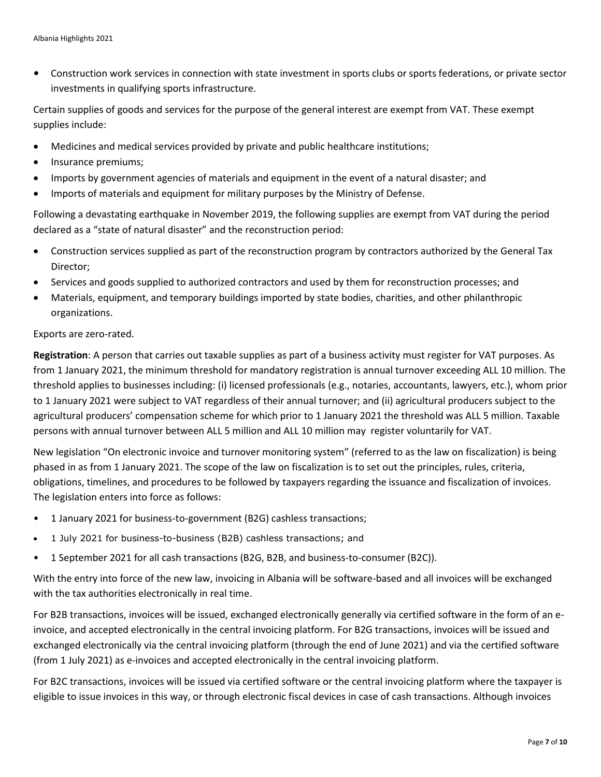• Construction work services in connection with state investment in sports clubs or sports federations, or private sector investments in qualifying sports infrastructure.

Certain supplies of goods and services for the purpose of the general interest are exempt from VAT. These exempt supplies include:

- Medicines and medical services provided by private and public healthcare institutions;
- Insurance premiums;
- Imports by government agencies of materials and equipment in the event of a natural disaster; and
- Imports of materials and equipment for military purposes by the Ministry of Defense.

Following a devastating earthquake in November 2019, the following supplies are exempt from VAT during the period declared as a "state of natural disaster" and the reconstruction period:

- Construction services supplied as part of the reconstruction program by contractors authorized by the General Tax Director;
- Services and goods supplied to authorized contractors and used by them for reconstruction processes; and
- Materials, equipment, and temporary buildings imported by state bodies, charities, and other philanthropic organizations.

#### Exports are zero-rated.

**Registration**: A person that carries out taxable supplies as part of a business activity must register for VAT purposes. As from 1 January 2021, the minimum threshold for mandatory registration is annual turnover exceeding ALL 10 million. The threshold applies to businesses including: (i) licensed professionals (e.g., notaries, accountants, lawyers, etc.), whom prior to 1 January 2021 were subject to VAT regardless of their annual turnover; and (ii) agricultural producers subject to the agricultural producers' compensation scheme for which prior to 1 January 2021 the threshold was ALL 5 million. Taxable persons with annual turnover between ALL 5 million and ALL 10 million may register voluntarily for VAT.

New legislation "On electronic invoice and turnover monitoring system" (referred to as the law on fiscalization) is being phased in as from 1 January 2021. The scope of the law on fiscalization is to set out the principles, rules, criteria, obligations, timelines, and procedures to be followed by taxpayers regarding the issuance and fiscalization of invoices. The legislation enters into force as follows:

- 1 January 2021 for business-to-government (B2G) cashless transactions;
- 1 July 2021 for business-to-business (B2B) cashless transactions; and
- 1 September 2021 for all cash transactions (B2G, B2B, and business-to-consumer (B2C)).

With the entry into force of the new law, invoicing in Albania will be software-based and all invoices will be exchanged with the tax authorities electronically in real time.

For B2B transactions, invoices will be issued, exchanged electronically generally via certified software in the form of an einvoice, and accepted electronically in the central invoicing platform. For B2G transactions, invoices will be issued and exchanged electronically via the central invoicing platform (through the end of June 2021) and via the certified software (from 1 July 2021) as e-invoices and accepted electronically in the central invoicing platform.

For B2C transactions, invoices will be issued via certified software or the central invoicing platform where the taxpayer is eligible to issue invoices in this way, or through electronic fiscal devices in case of cash transactions. Although invoices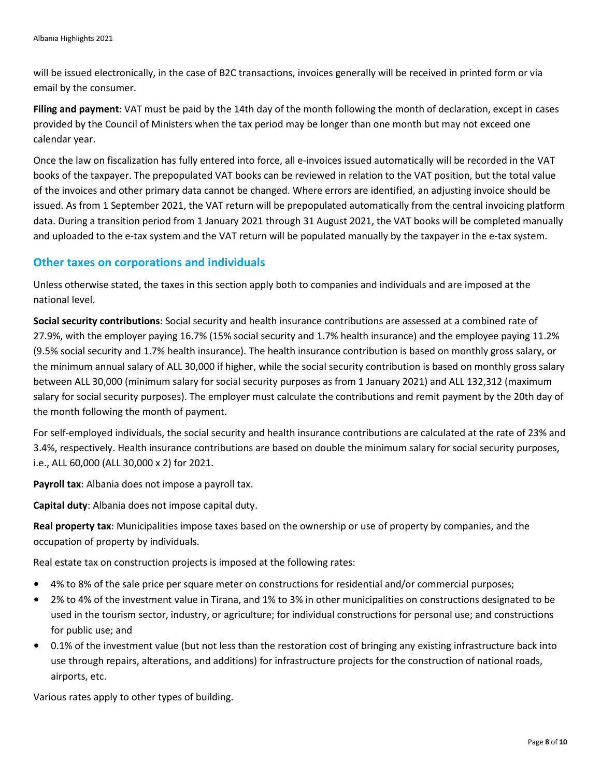will be issued electronically, in the case of B2C transactions, invoices generally will be received in printed form or via email by the consumer.

**Filing and payment**: VAT must be paid by the 14th day of the month following the month of declaration, except in cases provided by the Council of Ministers when the tax period may be longer than one month but may not exceed one calendar year.

Once the law on fiscalization has fully entered into force, all e-invoices issued automatically will be recorded in the VAT books of the taxpayer. The prepopulated VAT books can be reviewed in relation to the VAT position, but the total value of the invoices and other primary data cannot be changed. Where errors are identified, an adjusting invoice should be issued. As from 1 September 2021, the VAT return will be prepopulated automatically from the central invoicing platform data. During a transition period from 1 January 2021 through 31 August 2021, the VAT books will be completed manually and uploaded to the e-tax system and the VAT return will be populated manually by the taxpayer in the e-tax system.

### **Other taxes on corporations and individuals**

Unless otherwise stated, the taxes in this section apply both to companies and individuals and are imposed at the national level.

**Social security contributions**: Social security and health insurance contributions are assessed at a combined rate of 27.9%, with the employer paying 16.7% (15% social security and 1.7% health insurance) and the employee paying 11.2% (9.5% social security and 1.7% health insurance). The health insurance contribution is based on monthly gross salary, or the minimum annual salary of ALL 30,000 if higher, while the social security contribution is based on monthly gross salary between ALL 30,000 (minimum salary for social security purposes as from 1 January 2021) and ALL 132,312 (maximum salary for social security purposes). The employer must calculate the contributions and remit payment by the 20th day of the month following the month of payment.

For self-employed individuals, the social security and health insurance contributions are calculated at the rate of 23% and 3.4%, respectively. Health insurance contributions are based on double the minimum salary for social security purposes, i.e., ALL 60,000 (ALL 30,000 x 2) for 2021.

**Payroll tax**: Albania does not impose a payroll tax.

**Capital duty**: Albania does not impose capital duty.

**Real property tax**: Municipalities impose taxes based on the ownership or use of property by companies, and the occupation of property by individuals.

Real estate tax on construction projects is imposed at the following rates:

- 4% to 8% of the sale price per square meter on constructions for residential and/or commercial purposes;
- 2% to 4% of the investment value in Tirana, and 1% to 3% in other municipalities on constructions designated to be used in the tourism sector, industry, or agriculture; for individual constructions for personal use; and constructions for public use; and
- 0.1% of the investment value (but not less than the restoration cost of bringing any existing infrastructure back into use through repairs, alterations, and additions) for infrastructure projects for the construction of national roads, airports, etc.

Various rates apply to other types of building.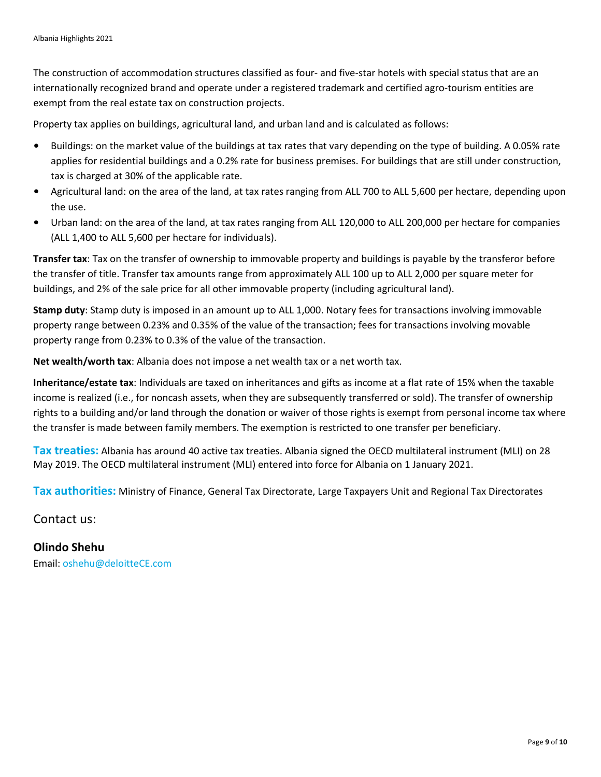The construction of accommodation structures classified as four- and five-star hotels with special status that are an internationally recognized brand and operate under a registered trademark and certified agro-tourism entities are exempt from the real estate tax on construction projects.

Property tax applies on buildings, agricultural land, and urban land and is calculated as follows:

- Buildings: on the market value of the buildings at tax rates that vary depending on the type of building. A 0.05% rate applies for residential buildings and a 0.2% rate for business premises. For buildings that are still under construction, tax is charged at 30% of the applicable rate.
- Agricultural land: on the area of the land, at tax rates ranging from ALL 700 to ALL 5,600 per hectare, depending upon the use.
- Urban land: on the area of the land, at tax rates ranging from ALL 120,000 to ALL 200,000 per hectare for companies (ALL 1,400 to ALL 5,600 per hectare for individuals).

**Transfer tax**: Tax on the transfer of ownership to immovable property and buildings is payable by the transferor before the transfer of title. Transfer tax amounts range from approximately ALL 100 up to ALL 2,000 per square meter for buildings, and 2% of the sale price for all other immovable property (including agricultural land).

**Stamp duty**: Stamp duty is imposed in an amount up to ALL 1,000. Notary fees for transactions involving immovable property range between 0.23% and 0.35% of the value of the transaction; fees for transactions involving movable property range from 0.23% to 0.3% of the value of the transaction.

**Net wealth/worth tax**: Albania does not impose a net wealth tax or a net worth tax.

**Inheritance/estate tax**: Individuals are taxed on inheritances and gifts as income at a flat rate of 15% when the taxable income is realized (i.e., for noncash assets, when they are subsequently transferred or sold). The transfer of ownership rights to a building and/or land through the donation or waiver of those rights is exempt from personal income tax where the transfer is made between family members. The exemption is restricted to one transfer per beneficiary.

**Tax treaties:** Albania has around 40 active tax treaties. Albania signed the OECD multilateral instrument (MLI) on 28 May 2019. The OECD multilateral instrument (MLI) entered into force for Albania on 1 January 2021.

**Tax authorities:** Ministry of Finance, General Tax Directorate, Large Taxpayers Unit and Regional Tax Directorates

Contact us:

# **Olindo Shehu** Email: [oshehu@deloitteCE.com](mailto:oshehu@deloitteCE.com)